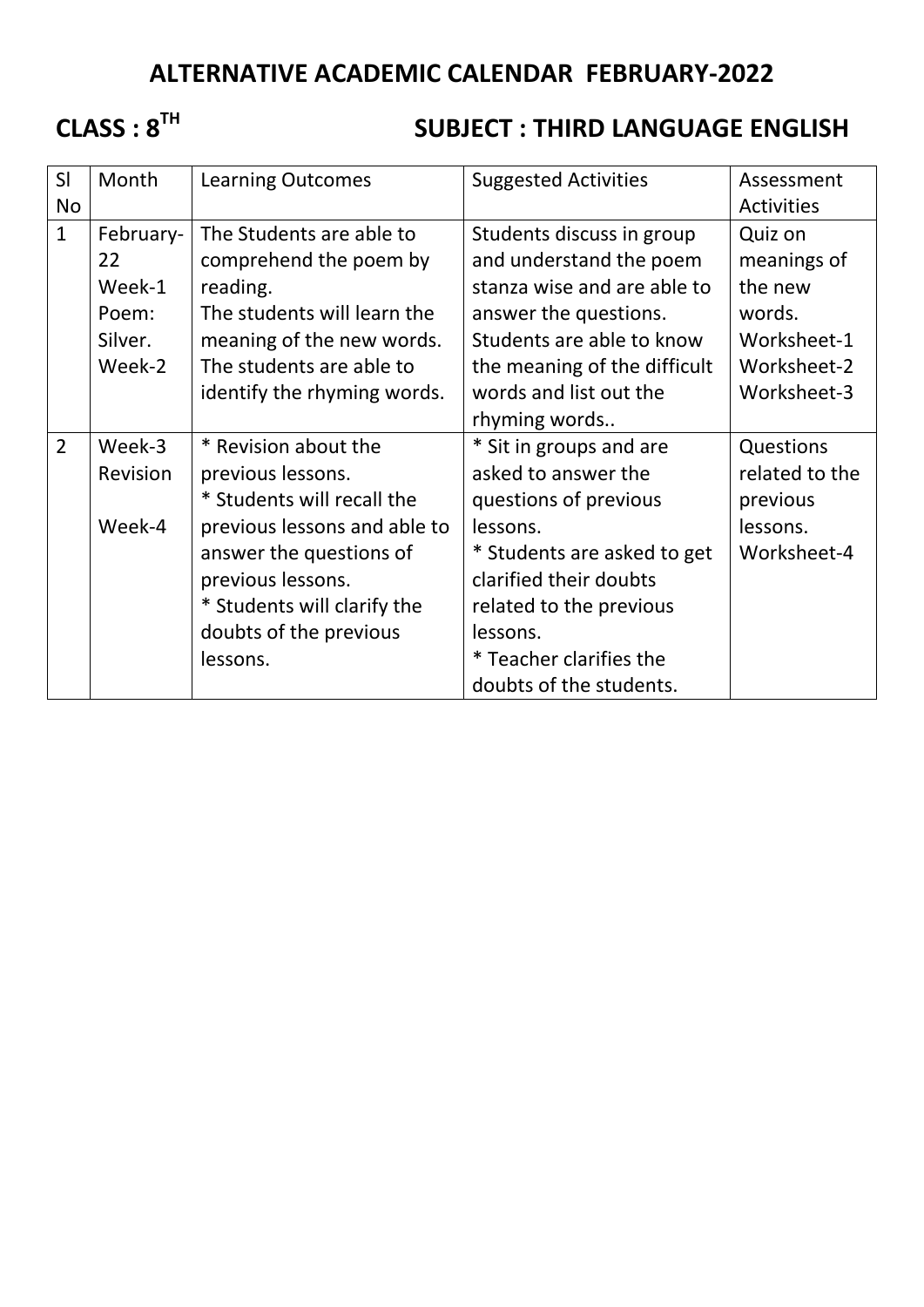## **ALTERNATIVE ACADEMIC CALENDAR FEBRUARY-2022**

## **CLASS : 8TH**

## **SUBJECT : THIRD LANGUAGE ENGLISH**

| SI             | Month                                                                                                                            | <b>Learning Outcomes</b><br><b>Suggested Activities</b> |                              | Assessment        |
|----------------|----------------------------------------------------------------------------------------------------------------------------------|---------------------------------------------------------|------------------------------|-------------------|
| <b>No</b>      |                                                                                                                                  |                                                         |                              | <b>Activities</b> |
| $\mathbf{1}$   | February-                                                                                                                        | The Students are able to                                | Students discuss in group    | Quiz on           |
|                | 22                                                                                                                               | comprehend the poem by                                  | and understand the poem      | meanings of       |
|                | Week-1                                                                                                                           | reading.                                                | stanza wise and are able to  | the new           |
|                | The students will learn the<br>Poem:                                                                                             |                                                         | answer the questions.        | words.            |
|                | Silver.<br>meaning of the new words.                                                                                             |                                                         | Students are able to know    | Worksheet-1       |
|                | Week-2                                                                                                                           | The students are able to                                | the meaning of the difficult | Worksheet-2       |
|                |                                                                                                                                  | identify the rhyming words.                             | words and list out the       | Worksheet-3       |
|                |                                                                                                                                  |                                                         | rhyming words                |                   |
| $\overline{2}$ | Week-3                                                                                                                           | * Revision about the                                    | * Sit in groups and are      | Questions         |
|                | Revision<br>previous lessons.<br>* Students will recall the<br>Week-4<br>previous lessons and able to<br>answer the questions of |                                                         | asked to answer the          | related to the    |
|                |                                                                                                                                  |                                                         | questions of previous        | previous          |
|                |                                                                                                                                  |                                                         | lessons.                     | lessons.          |
|                |                                                                                                                                  |                                                         | * Students are asked to get  | Worksheet-4       |
|                |                                                                                                                                  | previous lessons.                                       | clarified their doubts       |                   |
|                | * Students will clarify the                                                                                                      |                                                         | related to the previous      |                   |
|                | doubts of the previous                                                                                                           |                                                         | lessons.                     |                   |
|                | lessons.                                                                                                                         |                                                         | * Teacher clarifies the      |                   |
|                |                                                                                                                                  |                                                         | doubts of the students.      |                   |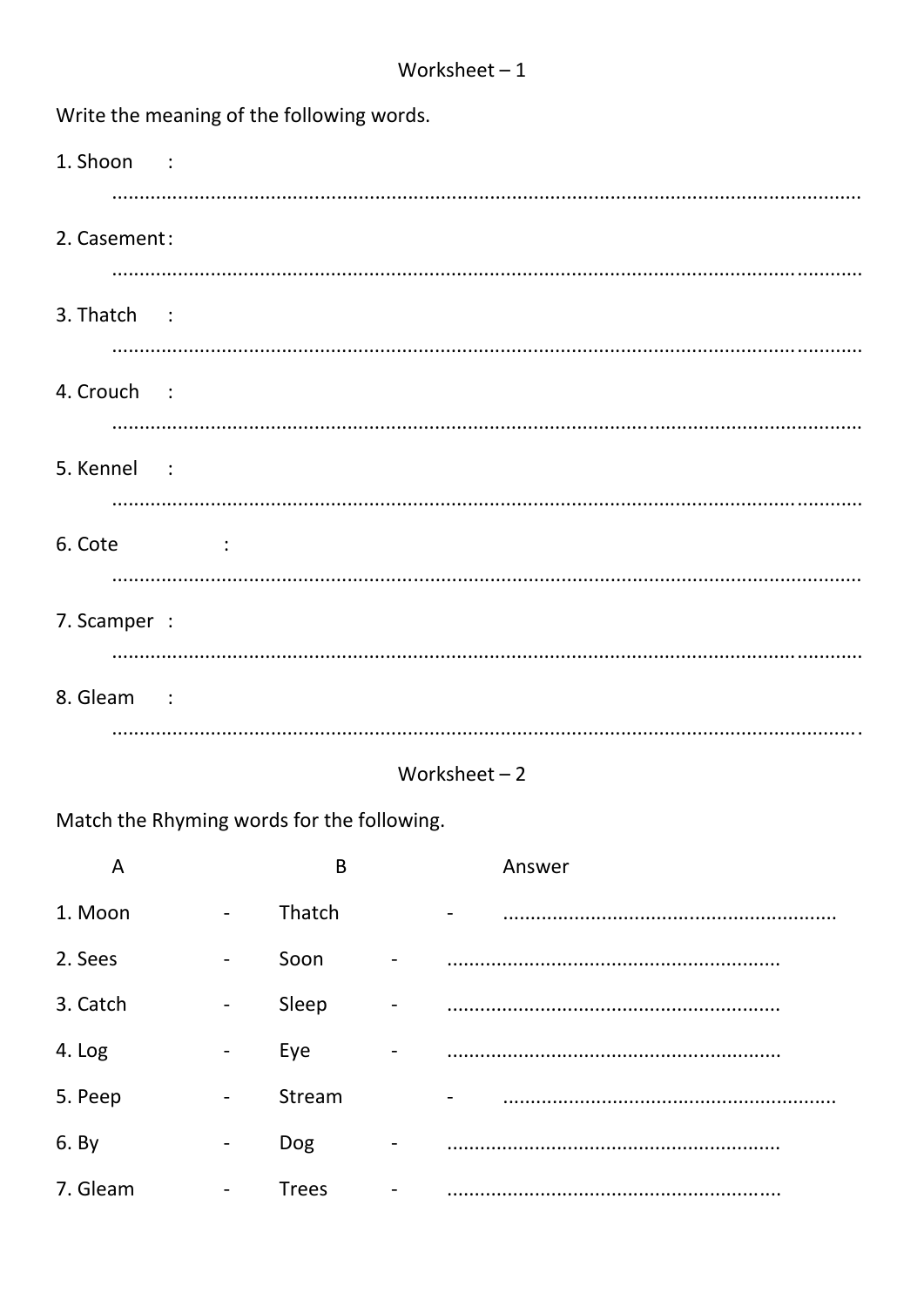| Write the meaning of the following words. |  |  |  |  |  |  |  |
|-------------------------------------------|--|--|--|--|--|--|--|
| 1. Shoon :                                |  |  |  |  |  |  |  |
| 2. Casement:                              |  |  |  |  |  |  |  |
|                                           |  |  |  |  |  |  |  |
| 3. Thatch :                               |  |  |  |  |  |  |  |
|                                           |  |  |  |  |  |  |  |
| 4. Crouch :                               |  |  |  |  |  |  |  |
| 5. Kennel :                               |  |  |  |  |  |  |  |
|                                           |  |  |  |  |  |  |  |
| 6. Cote<br><b>Contractor</b>              |  |  |  |  |  |  |  |
|                                           |  |  |  |  |  |  |  |
| 7. Scamper :                              |  |  |  |  |  |  |  |
|                                           |  |  |  |  |  |  |  |
| 8. Gleam :                                |  |  |  |  |  |  |  |
|                                           |  |  |  |  |  |  |  |

## Worksheet  $-2$

Match the Rhyming words for the following.

| A        |                          | B            | Answer |
|----------|--------------------------|--------------|--------|
| 1. Moon  | $\overline{\phantom{a}}$ | Thatch       |        |
| 2. Sees  | $\overline{\phantom{a}}$ | Soon         |        |
| 3. Catch | $\overline{\phantom{a}}$ | Sleep        |        |
| 4. Log   | $\overline{\phantom{a}}$ | Eye          |        |
| 5. Peep  | $\overline{\phantom{a}}$ | Stream       |        |
| 6. By    | $\overline{\phantom{a}}$ | Dog          |        |
| 7. Gleam | $\overline{\phantom{a}}$ | <b>Trees</b> |        |